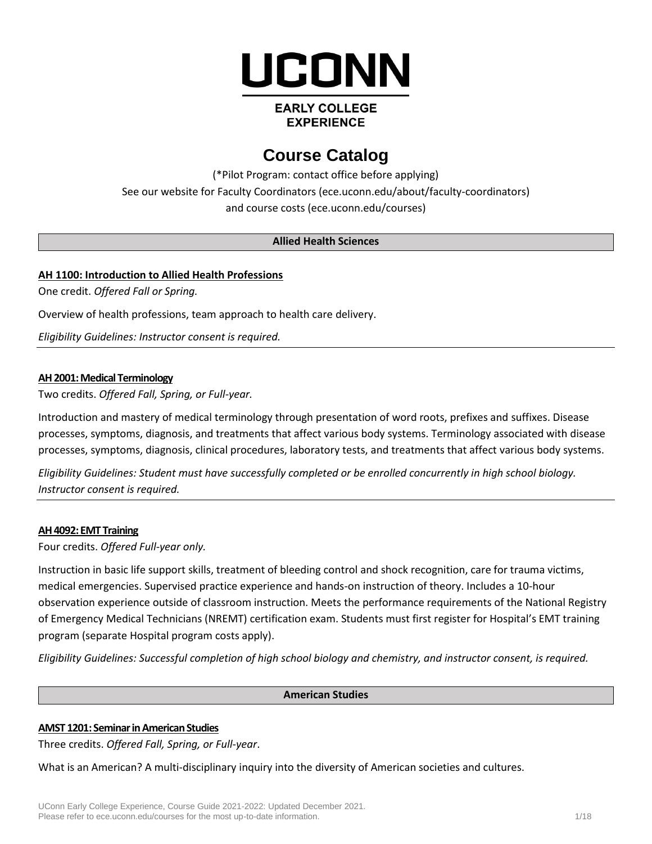

# **EARLY COLLEGE EXPERIENCE**

# **Course Catalog**

(\*Pilot Program: contact office before applying) See our website for Faculty Coordinators (ece.uconn.edu/about/faculty-coordinators) and course costs [\(ece.uconn.edu/courses\)](http://www.ece.uconn.edu/courses)

## **Allied Health Sciences**

# **AH 1100: Introduction to Allied Health Professions**

One credit. *Offered Fall or Spring.*

Overview of health professions, team approach to health care delivery.

*Eligibility Guidelines: Instructor consent is required.*

# **AH 2001: Medical Terminology**

Two credits. *Offered Fall, Spring, or Full-year.* 

Introduction and mastery of medical terminology through presentation of word roots, prefixes and suffixes. Disease processes, symptoms, diagnosis, and treatments that affect various body systems. Terminology associated with disease processes, symptoms, diagnosis, clinical procedures, laboratory tests, and treatments that affect various body systems.

*Eligibility Guidelines: Student must have successfully completed or be enrolled concurrently in high school biology. Instructor consent is required.*

## **AH 4092: EMT Training**

Four credits. *Offered Full-year only.*

Instruction in basic life support skills, treatment of bleeding control and shock recognition, care for trauma victims, medical emergencies. Supervised practice experience and hands-on instruction of theory. Includes a 10-hour observation experience outside of classroom instruction. Meets the performance requirements of the National Registry of Emergency Medical Technicians (NREMT) certification exam. Students must first register for Hospital's EMT training program (separate Hospital program costs apply).

*Eligibility Guidelines: Successful completion of high school biology and chemistry, and instructor consent, is required.*

## **American Studies**

## **AMST 1201: Seminar in American Studies**

Three credits. *Offered Fall, Spring, or Full-year*.

What is an American? A multi-disciplinary inquiry into the diversity of American societies and cultures.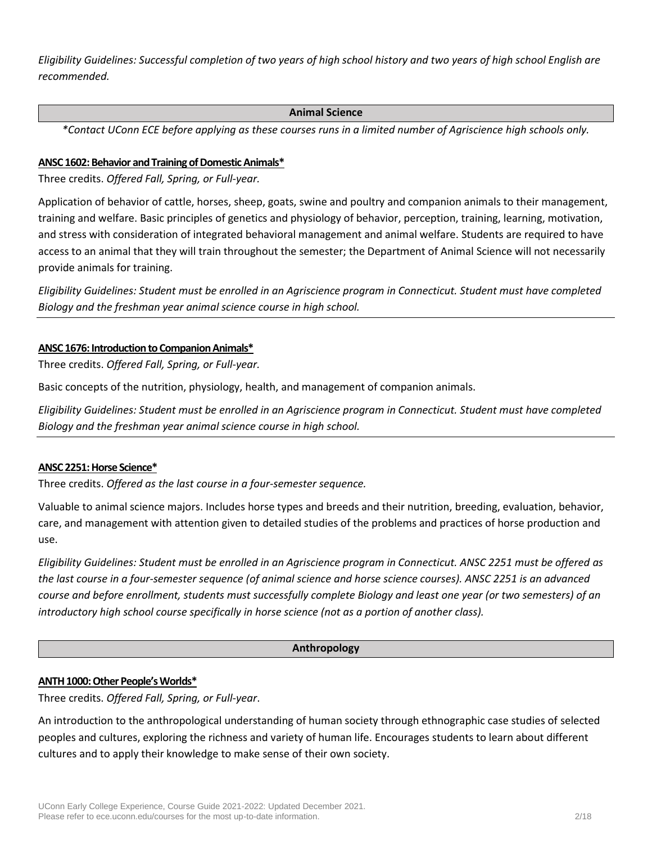*Eligibility Guidelines: Successful completion of two years of high school history and two years of high school English are recommended.*

## **Animal Science**

*\*Contact UConn ECE before applying as these courses runs in a limited number of Agriscience high schools only.*

# **ANSC 1602: Behavior and Training of Domestic Animals\***

Three credits. *Offered Fall, Spring, or Full-year.*

Application of behavior of cattle, horses, sheep, goats, swine and poultry and companion animals to their management, training and welfare. Basic principles of genetics and physiology of behavior, perception, training, learning, motivation, and stress with consideration of integrated behavioral management and animal welfare. Students are required to have access to an animal that they will train throughout the semester; the Department of Animal Science will not necessarily provide animals for training.

*Eligibility Guidelines: Student must be enrolled in an Agriscience program in Connecticut. Student must have completed Biology and the freshman year animal science course in high school.*

# **ANSC 1676: Introduction to Companion Animals\***

Three credits. *Offered Fall, Spring, or Full-year.*

Basic concepts of the nutrition, physiology, health, and management of companion animals.

*Eligibility Guidelines: Student must be enrolled in an Agriscience program in Connecticut. Student must have completed Biology and the freshman year animal science course in high school.*

## **ANSC 2251: Horse Science\***

Three credits. *Offered as the last course in a four-semester sequence.*

Valuable to animal science majors. Includes horse types and breeds and their nutrition, breeding, evaluation, behavior, care, and management with attention given to detailed studies of the problems and practices of horse production and use.

*Eligibility Guidelines: Student must be enrolled in an Agriscience program in Connecticut. ANSC 2251 must be offered as the last course in a four-semester sequence (of animal science and horse science courses). ANSC 2251 is an advanced course and before enrollment, students must successfully complete Biology and least one year (or two semesters) of an introductory high school course specifically in horse science (not as a portion of another class).*

## **Anthropology**

## **ANTH 1000: Other People's Worlds\***

Three credits. *Offered Fall, Spring, or Full-year*.

An introduction to the anthropological understanding of human society through ethnographic case studies of selected peoples and cultures, exploring the richness and variety of human life. Encourages students to learn about different cultures and to apply their knowledge to make sense of their own society.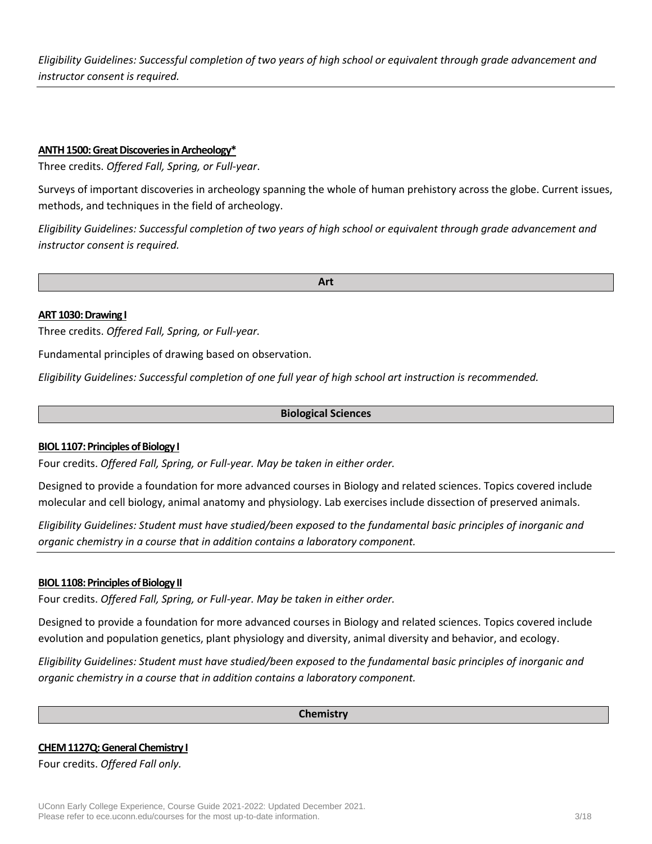*Eligibility Guidelines: Successful completion of two years of high school or equivalent through grade advancement and instructor consent is required.*

#### **ANTH 1500: Great Discoveries in Archeology\***

Three credits. *Offered Fall, Spring, or Full-year*.

Surveys of important discoveries in archeology spanning the whole of human prehistory across the globe. Current issues, methods, and techniques in the field of archeology.

*Eligibility Guidelines: Successful completion of two years of high school or equivalent through grade advancement and instructor consent is required.*

**Art**

#### **ART 1030: Drawing I**

Three credits. *Offered Fall, Spring, or Full-year.*

Fundamental principles of drawing based on observation.

*Eligibility Guidelines: Successful completion of one full year of high school art instruction is recommended.*

#### **Biological Sciences**

#### **BIOL 1107: Principles of Biology I**

Four credits. *Offered Fall, Spring, or Full-year. May be taken in either order.*

Designed to provide a foundation for more advanced courses in Biology and related sciences. Topics covered include molecular and cell biology, animal anatomy and physiology. Lab exercises include dissection of preserved animals.

*Eligibility Guidelines: Student must have studied/been exposed to the fundamental basic principles of inorganic and organic chemistry in a course that in addition contains a laboratory component.*

#### **BIOL 1108: Principles of Biology II**

Four credits. *Offered Fall, Spring, or Full-year. May be taken in either order.*

Designed to provide a foundation for more advanced courses in Biology and related sciences. Topics covered include evolution and population genetics, plant physiology and diversity, animal diversity and behavior, and ecology.

*Eligibility Guidelines: Student must have studied/been exposed to the fundamental basic principles of inorganic and organic chemistry in a course that in addition contains a laboratory component.*

#### **Chemistry**

## **CHEM 1127Q: General Chemistry I**

Four credits. *Offered Fall only.*

UConn Early College Experience, Course Guide 2021-2022: Updated December 2021. Please refer to ece.uconn.edu/courses for the most up-to-date information. 3/18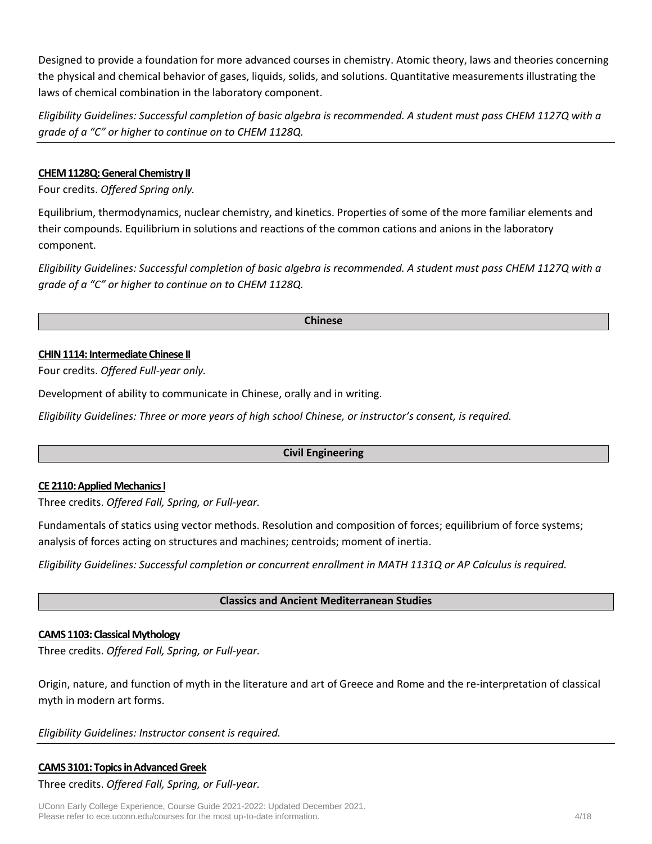Designed to provide a foundation for more advanced courses in chemistry. Atomic theory, laws and theories concerning the physical and chemical behavior of gases, liquids, solids, and solutions. Quantitative measurements illustrating the laws of chemical combination in the laboratory component.

*Eligibility Guidelines: Successful completion of basic algebra is recommended. A student must pass CHEM 1127Q with a grade of a "C" or higher to continue on to CHEM 1128Q.*

# **CHEM 1128Q: General Chemistry II**

Four credits. *Offered Spring only.*

Equilibrium, thermodynamics, nuclear chemistry, and kinetics. Properties of some of the more familiar elements and their compounds. Equilibrium in solutions and reactions of the common cations and anions in the laboratory component.

*Eligibility Guidelines: Successful completion of basic algebra is recommended. A student must pass CHEM 1127Q with a grade of a "C" or higher to continue on to CHEM 1128Q.*

#### **Chinese**

#### **CHIN 1114: Intermediate Chinese II**

Four credits. *Offered Full-year only.*

Development of ability to communicate in Chinese, orally and in writing.

*Eligibility Guidelines: Three or more years of high school Chinese, or instructor's consent, is required.*

#### **Civil Engineering**

## **CE 2110: Applied Mechanics I**

Three credits. *Offered Fall, Spring, or Full-year.*

Fundamentals of statics using vector methods. Resolution and composition of forces; equilibrium of force systems; analysis of forces acting on structures and machines; centroids; moment of inertia.

*Eligibility Guidelines: Successful completion or concurrent enrollment in MATH 1131Q or AP Calculus is required.*

## **Classics and Ancient Mediterranean Studies**

## **CAMS 1103: Classical Mythology**

Three credits. *Offered Fall, Spring, or Full-year.*

Origin, nature, and function of myth in the literature and art of Greece and Rome and the re-interpretation of classical myth in modern art forms.

*Eligibility Guidelines: Instructor consent is required.*

## **CAMS 3101: Topics in Advanced Greek**

Three credits. *Offered Fall, Spring, or Full-year.*

UConn Early College Experience, Course Guide 2021-2022: Updated December 2021. Please refer to ece.uconn.edu/courses for the most up-to-date information. 4/18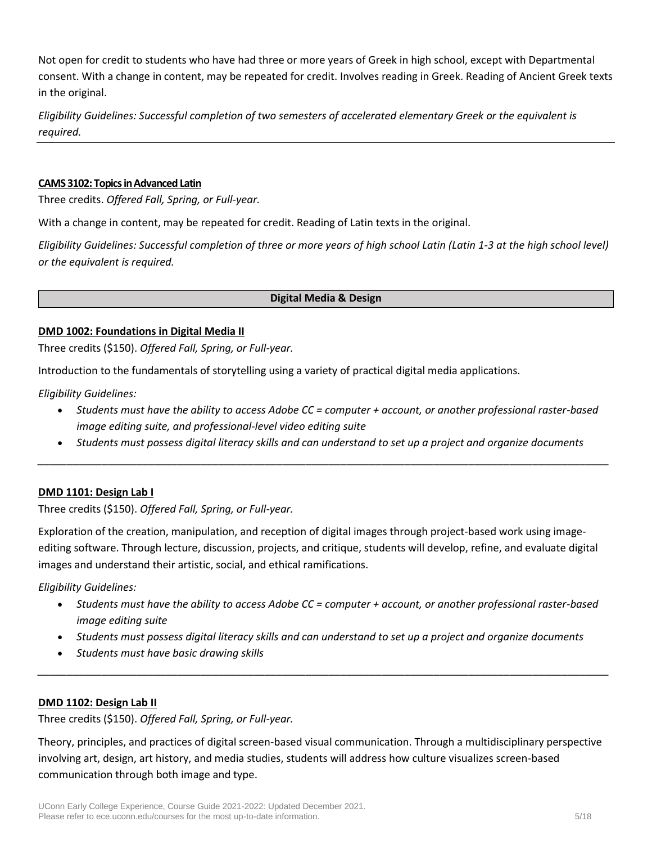Not open for credit to students who have had three or more years of Greek in high school, except with Departmental consent. With a change in content, may be repeated for credit. Involves reading in Greek. Reading of Ancient Greek texts in the original.

*Eligibility Guidelines: Successful completion of two semesters of accelerated elementary Greek or the equivalent is required.*

## **CAMS 3102: Topics in Advanced Latin**

Three credits. *Offered Fall, Spring, or Full-year.*

With a change in content, may be repeated for credit. Reading of Latin texts in the original.

*Eligibility Guidelines: Successful completion of three or more years of high school Latin (Latin 1-3 at the high school level) or the equivalent is required.*

**Digital Media & Design**

## **DMD 1002: Foundations in Digital Media II**

Three credits (\$150). *Offered Fall, Spring, or Full-year.*

Introduction to the fundamentals of storytelling using a variety of practical digital media applications.

*Eligibility Guidelines:*

- *Students must have the ability to access Adobe CC = computer + account, or another professional raster-based image editing suite, and professional-level video editing suite*
- *Students must possess digital literacy skills and can understand to set up a project and organize documents \_\_\_\_\_\_\_\_\_\_\_\_\_\_\_\_\_\_\_\_\_\_\_\_\_\_\_\_\_\_\_\_\_\_\_\_\_\_\_\_\_\_\_\_\_\_\_\_\_\_\_\_\_\_\_\_\_\_\_\_\_\_\_\_\_\_\_\_\_\_\_\_\_\_\_\_\_\_\_\_\_\_\_\_\_\_\_\_\_\_\_\_\_\_\_\_\_\_*

# **DMD 1101: Design Lab I**

Three credits (\$150). *Offered Fall, Spring, or Full-year.*

Exploration of the creation, manipulation, and reception of digital images through project-based work using imageediting software. Through lecture, discussion, projects, and critique, students will develop, refine, and evaluate digital images and understand their artistic, social, and ethical ramifications.

*Eligibility Guidelines:*

- *Students must have the ability to access Adobe CC = computer + account, or another professional raster-based image editing suite*
- *Students must possess digital literacy skills and can understand to set up a project and organize documents*

*\_\_\_\_\_\_\_\_\_\_\_\_\_\_\_\_\_\_\_\_\_\_\_\_\_\_\_\_\_\_\_\_\_\_\_\_\_\_\_\_\_\_\_\_\_\_\_\_\_\_\_\_\_\_\_\_\_\_\_\_\_\_\_\_\_\_\_\_\_\_\_\_\_\_\_\_\_\_\_\_\_\_\_\_\_\_\_\_\_\_\_\_\_\_\_\_\_\_*

• *Students must have basic drawing skills*

# **DMD 1102: Design Lab II**

Three credits (\$150). *Offered Fall, Spring, or Full-year.*

Theory, principles, and practices of digital screen-based visual communication. Through a multidisciplinary perspective involving art, design, art history, and media studies, students will address how culture visualizes screen-based communication through both image and type.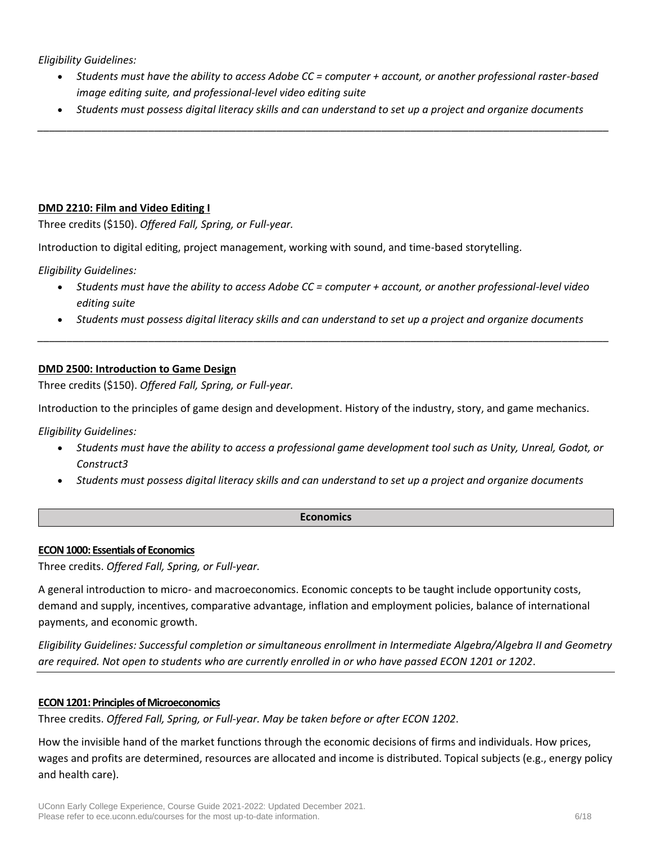*Eligibility Guidelines:*

- *Students must have the ability to access Adobe CC = computer + account, or another professional raster-based image editing suite, and professional-level video editing suite*
- *Students must possess digital literacy skills and can understand to set up a project and organize documents \_\_\_\_\_\_\_\_\_\_\_\_\_\_\_\_\_\_\_\_\_\_\_\_\_\_\_\_\_\_\_\_\_\_\_\_\_\_\_\_\_\_\_\_\_\_\_\_\_\_\_\_\_\_\_\_\_\_\_\_\_\_\_\_\_\_\_\_\_\_\_\_\_\_\_\_\_\_\_\_\_\_\_\_\_\_\_\_\_\_\_\_\_\_\_\_\_\_*

# **DMD 2210: Film and Video Editing I**

Three credits (\$150). *Offered Fall, Spring, or Full-year.*

Introduction to digital editing, project management, working with sound, and time-based storytelling.

*Eligibility Guidelines:*

- *Students must have the ability to access Adobe CC = computer + account, or another professional-level video editing suite*
- *Students must possess digital literacy skills and can understand to set up a project and organize documents \_\_\_\_\_\_\_\_\_\_\_\_\_\_\_\_\_\_\_\_\_\_\_\_\_\_\_\_\_\_\_\_\_\_\_\_\_\_\_\_\_\_\_\_\_\_\_\_\_\_\_\_\_\_\_\_\_\_\_\_\_\_\_\_\_\_\_\_\_\_\_\_\_\_\_\_\_\_\_\_\_\_\_\_\_\_\_\_\_\_\_\_\_\_\_\_\_\_*

# **DMD 2500: Introduction to Game Design**

Three credits (\$150). *Offered Fall, Spring, or Full-year.*

Introduction to the principles of game design and development. History of the industry, story, and game mechanics.

*Eligibility Guidelines:*

- *Students must have the ability to access a professional game development tool such as Unity, Unreal, Godot, or Construct3*
- *Students must possess digital literacy skills and can understand to set up a project and organize documents*

## **Economics**

## **ECON 1000: Essentials of Economics**

Three credits. *Offered Fall, Spring, or Full-year.*

A general introduction to micro- and macroeconomics. Economic concepts to be taught include opportunity costs, demand and supply, incentives, comparative advantage, inflation and employment policies, balance of international payments, and economic growth.

*Eligibility Guidelines: Successful completion or simultaneous enrollment in Intermediate Algebra/Algebra II and Geometry are required. Not open to students who are currently enrolled in or who have passed ECON 1201 or 1202*.

## **ECON 1201: Principles of Microeconomics**

Three credits. *Offered Fall, Spring, or Full-year. May be taken before or after ECON 1202*.

How the invisible hand of the market functions through the economic decisions of firms and individuals. How prices, wages and profits are determined, resources are allocated and income is distributed. Topical subjects (e.g., energy policy and health care).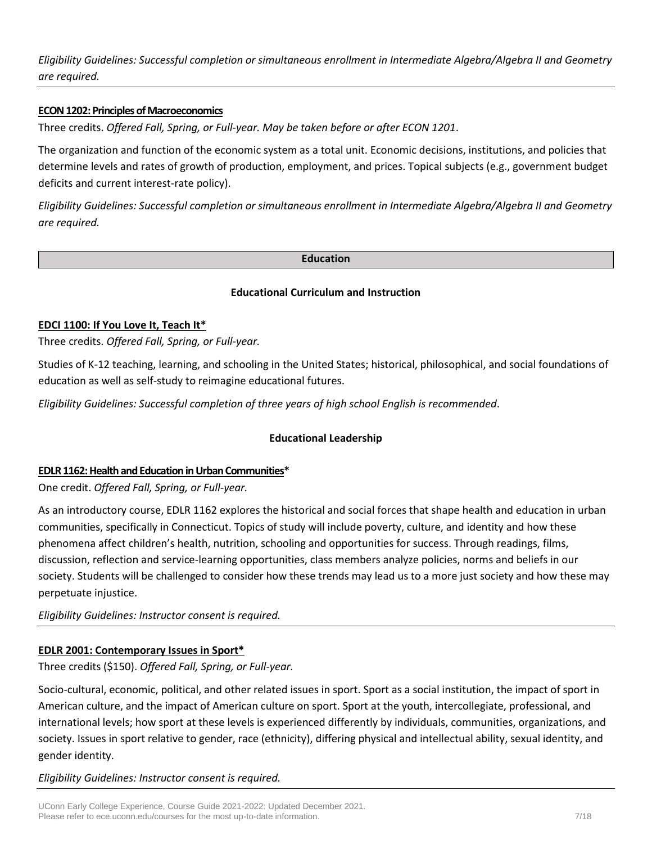*Eligibility Guidelines: Successful completion or simultaneous enrollment in Intermediate Algebra/Algebra II and Geometry are required.*

# **ECON 1202: Principles of Macroeconomics**

Three credits. *Offered Fall, Spring, or Full-year. May be taken before or after ECON 1201*.

The organization and function of the economic system as a total unit. Economic decisions, institutions, and policies that determine levels and rates of growth of production, employment, and prices. Topical subjects (e.g., government budget deficits and current interest-rate policy).

*Eligibility Guidelines: Successful completion or simultaneous enrollment in Intermediate Algebra/Algebra II and Geometry are required.*

#### **Education**

## **Educational Curriculum and Instruction**

## **EDCI 1100: If You Love It, Teach It\***

Three credits. *Offered Fall, Spring, or Full-year.*

Studies of K-12 teaching, learning, and schooling in the United States; historical, philosophical, and social foundations of education as well as self-study to reimagine educational futures.

*Eligibility Guidelines: Successful completion of three years of high school English is recommended*.

## **Educational Leadership**

## **EDLR 1162: Health and Education in Urban Communities\***

One credit. *Offered Fall, Spring, or Full-year.*

As an introductory course, EDLR 1162 explores the historical and social forces that shape health and education in urban communities, specifically in Connecticut. Topics of study will include poverty, culture, and identity and how these phenomena affect children's health, nutrition, schooling and opportunities for success. Through readings, films, discussion, reflection and service‐learning opportunities, class members analyze policies, norms and beliefs in our society. Students will be challenged to consider how these trends may lead us to a more just society and how these may perpetuate injustice.

*Eligibility Guidelines: Instructor consent is required.*

## **EDLR 2001: Contemporary Issues in Sport\***

Three credits (\$150). *Offered Fall, Spring, or Full-year.*

Socio-cultural, economic, political, and other related issues in sport. Sport as a social institution, the impact of sport in American culture, and the impact of American culture on sport. Sport at the youth, intercollegiate, professional, and international levels; how sport at these levels is experienced differently by individuals, communities, organizations, and society. Issues in sport relative to gender, race (ethnicity), differing physical and intellectual ability, sexual identity, and gender identity.

*Eligibility Guidelines: Instructor consent is required.*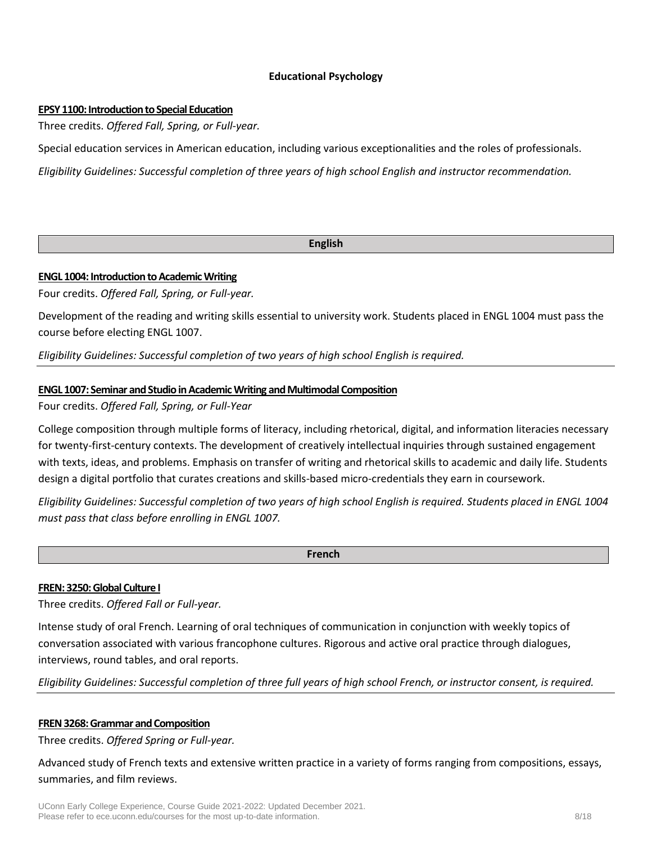# **Educational Psychology**

#### **EPSY 1100: Introduction to Special Education**

Three credits. *Offered Fall, Spring, or Full-year.*

Special education services in American education, including various exceptionalities and the roles of professionals.

*Eligibility Guidelines: Successful completion of three years of high school English and instructor recommendation.*

#### **English**

#### **ENGL 1004: Introduction to Academic Writing**

Four credits. *Offered Fall, Spring, or Full-year.*

Development of the reading and writing skills essential to university work. Students placed in ENGL 1004 must pass the course before electing ENGL 1007.

*Eligibility Guidelines: Successful completion of two years of high school English is required.*

## **ENGL 1007: Seminar and Studio in Academic Writing and Multimodal Composition**

Four credits. *Offered Fall, Spring, or Full-Year*

College composition through multiple forms of literacy, including rhetorical, digital, and information literacies necessary for twenty-first-century contexts. The development of creatively intellectual inquiries through sustained engagement with texts, ideas, and problems. Emphasis on transfer of writing and rhetorical skills to academic and daily life. Students design a digital portfolio that curates creations and skills-based micro-credentials they earn in coursework.

*Eligibility Guidelines: Successful completion of two years of high school English is required. Students placed in ENGL 1004 must pass that class before enrolling in ENGL 1007.*

#### **French**

## **FREN: 3250:Global Culture I**

Three credits. *Offered Fall or Full-year.*

Intense study of oral French. Learning of oral techniques of communication in conjunction with weekly topics of conversation associated with various francophone cultures. Rigorous and active oral practice through dialogues, interviews, round tables, and oral reports.

*Eligibility Guidelines: Successful completion of three full years of high school French, or instructor consent, is required.*

## **FREN 3268: Grammar and Composition**

Three credits. *Offered Spring or Full-year.*

Advanced study of French texts and extensive written practice in a variety of forms ranging from compositions, essays, summaries, and film reviews.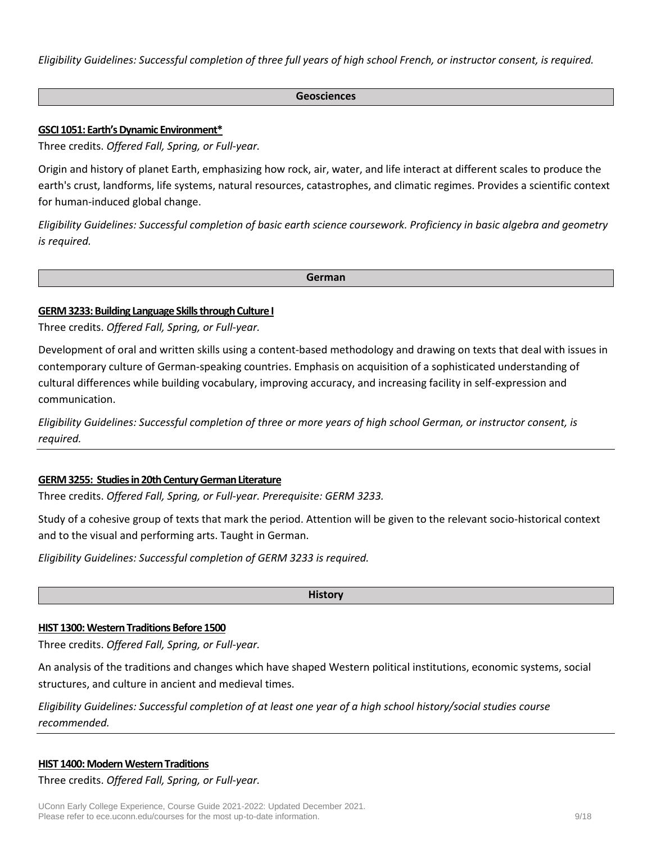*Eligibility Guidelines: Successful completion of three full years of high school French, or instructor consent, is required.*

#### **Geosciences**

## **GSCI 1051: Earth's Dynamic Environment\***

Three credits. *Offered Fall, Spring, or Full-year.*

Origin and history of planet Earth, emphasizing how rock, air, water, and life interact at different scales to produce the earth's crust, landforms, life systems, natural resources, catastrophes, and climatic regimes. Provides a scientific context for human-induced global change.

*Eligibility Guidelines: Successful completion of basic earth science coursework. Proficiency in basic algebra and geometry is required.* 

**German**

# **GERM3233: Building Language Skills through Culture I**

Three credits. *Offered Fall, Spring, or Full-year.*

Development of oral and written skills using a content-based methodology and drawing on texts that deal with issues in contemporary culture of German-speaking countries. Emphasis on acquisition of a sophisticated understanding of cultural differences while building vocabulary, improving accuracy, and increasing facility in self-expression and communication.

*Eligibility Guidelines: Successful completion of three or more years of high school German, or instructor consent, is required.*

## **GERM 3255: Studies in 20th Century German Literature**

Three credits. *Offered Fall, Spring, or Full-year. Prerequisite: GERM 3233.*

Study of a cohesive group of texts that mark the period. Attention will be given to the relevant socio-historical context and to the visual and performing arts. Taught in German.

*Eligibility Guidelines: Successful completion of GERM 3233 is required.*

**History**

## **HIST 1300: Western Traditions Before 1500**

Three credits. *Offered Fall, Spring, or Full-year.*

An analysis of the traditions and changes which have shaped Western political institutions, economic systems, social structures, and culture in ancient and medieval times.

*Eligibility Guidelines: Successful completion of at least one year of a high school history/social studies course recommended.*

## **HIST 1400: Modern Western Traditions**

Three credits. *Offered Fall, Spring, or Full-year.*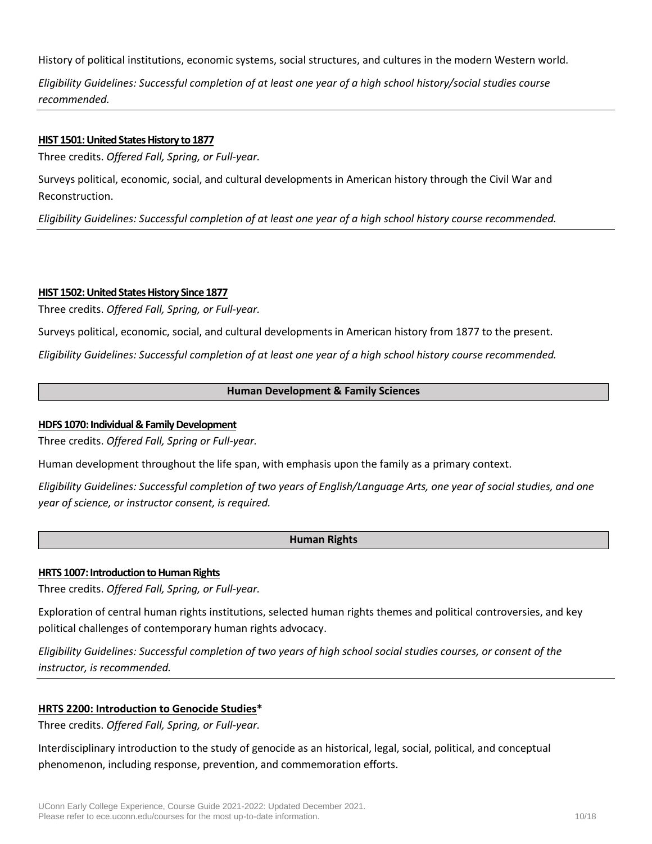History of political institutions, economic systems, social structures, and cultures in the modern Western world.

*Eligibility Guidelines: Successful completion of at least one year of a high school history/social studies course recommended.*

## **HIST 1501: United States History to 1877**

Three credits. *Offered Fall, Spring, or Full-year.*

Surveys political, economic, social, and cultural developments in American history through the Civil War and Reconstruction.

*Eligibility Guidelines: Successful completion of at least one year of a high school history course recommended.*

## **HIST 1502: United States History Since 1877**

Three credits. *Offered Fall, Spring, or Full-year.*

Surveys political, economic, social, and cultural developments in American history from 1877 to the present.

*Eligibility Guidelines: Successful completion of at least one year of a high school history course recommended.*

# **Human Development & Family Sciences**

# **HDFS 1070: Individual & Family Development**

Three credits. *Offered Fall, Spring or Full-year.*

Human development throughout the life span, with emphasis upon the family as a primary context.

*Eligibility Guidelines: Successful completion of two years of English/Language Arts, one year of social studies, and one year of science, or instructor consent, is required.*

## **Human Rights**

## **HRTS 1007: Introduction to Human Rights**

Three credits. *Offered Fall, Spring, or Full-year.*

Exploration of central human rights institutions, selected human rights themes and political controversies, and key political challenges of contemporary human rights advocacy.

*Eligibility Guidelines: Successful completion of two years of high school social studies courses, or consent of the instructor, is recommended.*

# **HRTS 2200: Introduction to Genocide Studies\***

Three credits. *Offered Fall, Spring, or Full-year.*

Interdisciplinary introduction to the study of genocide as an historical, legal, social, political, and conceptual phenomenon, including response, prevention, and commemoration efforts.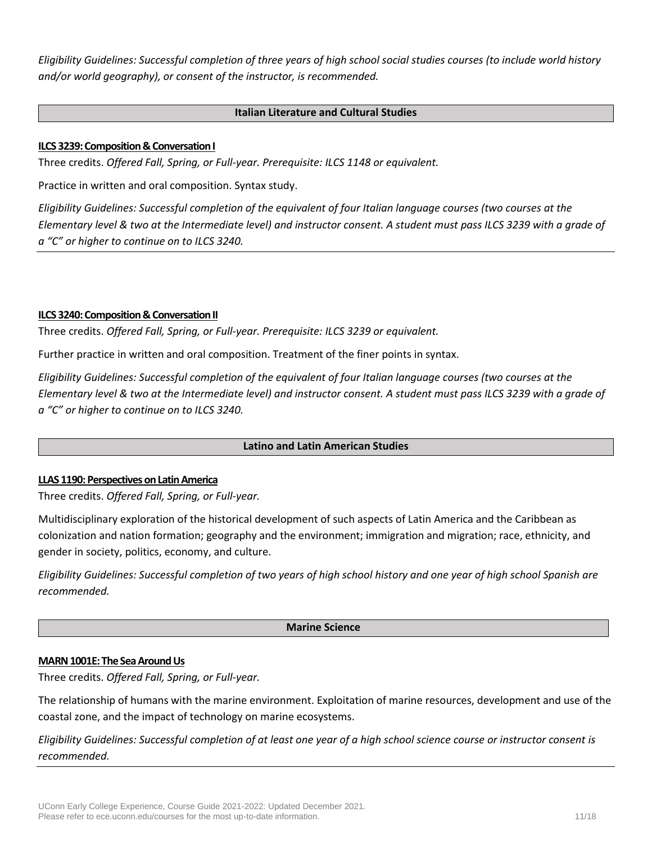*Eligibility Guidelines: Successful completion of three years of high school social studies courses (to include world history and/or world geography), or consent of the instructor, is recommended.*

## **Italian Literature and Cultural Studies**

## **ILCS 3239: Composition & Conversation I**

Three credits. *Offered Fall, Spring, or Full-year. Prerequisite: ILCS 1148 or equivalent.*

Practice in written and oral composition. Syntax study.

*Eligibility Guidelines: Successful completion of the equivalent of four Italian language courses (two courses at the Elementary level & two at the Intermediate level) and instructor consent. A student must pass ILCS 3239 with a grade of a "C" or higher to continue on to ILCS 3240.*

#### **ILCS 3240: Composition & Conversation II**

Three credits. *Offered Fall, Spring, or Full-year. Prerequisite: ILCS 3239 or equivalent.*

Further practice in written and oral composition. Treatment of the finer points in syntax.

*Eligibility Guidelines: Successful completion of the equivalent of four Italian language courses (two courses at the Elementary level & two at the Intermediate level) and instructor consent. A student must pass ILCS 3239 with a grade of a "C" or higher to continue on to ILCS 3240.*

## **Latino and Latin American Studies**

#### **LLAS 1190: Perspectives on Latin America**

Three credits. *Offered Fall, Spring, or Full-year.*

Multidisciplinary exploration of the historical development of such aspects of Latin America and the Caribbean as colonization and nation formation; geography and the environment; immigration and migration; race, ethnicity, and gender in society, politics, economy, and culture.

*Eligibility Guidelines: Successful completion of two years of high school history and one year of high school Spanish are recommended.*

#### **Marine Science**

#### **MARN 1001E: The Sea Around Us**

Three credits. *Offered Fall, Spring, or Full-year.*

The relationship of humans with the marine environment. Exploitation of marine resources, development and use of the coastal zone, and the impact of technology on marine ecosystems.

*Eligibility Guidelines: Successful completion of at least one year of a high school science course or instructor consent is recommended.*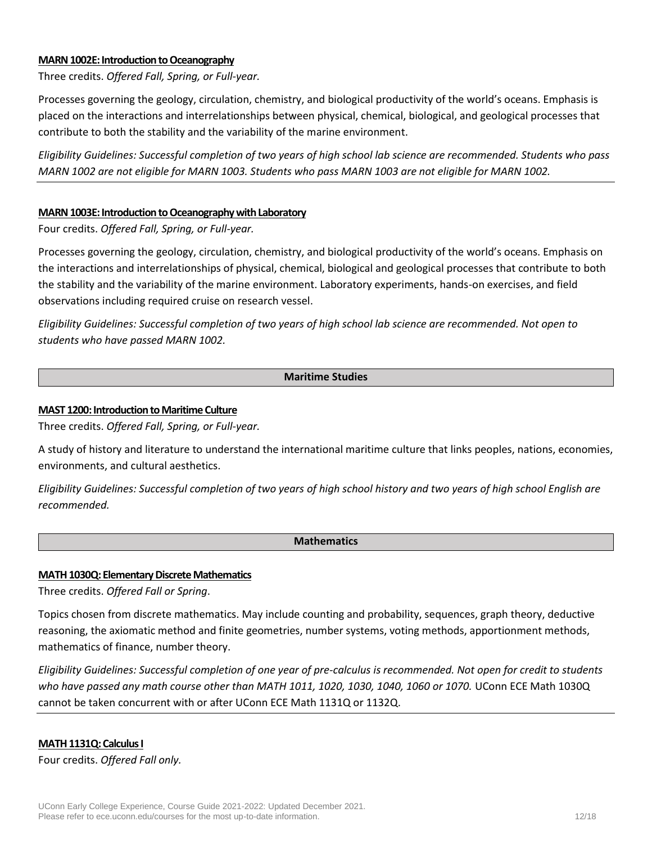#### **MARN 1002E: Introduction to Oceanography**

Three credits. *Offered Fall, Spring, or Full-year.*

Processes governing the geology, circulation, chemistry, and biological productivity of the world's oceans. Emphasis is placed on the interactions and interrelationships between physical, chemical, biological, and geological processes that contribute to both the stability and the variability of the marine environment.

*Eligibility Guidelines: Successful completion of two years of high school lab science are recommended. Students who pass MARN 1002 are not eligible for MARN 1003. Students who pass MARN 1003 are not eligible for MARN 1002.*

#### **MARN 1003E: Introduction to Oceanography with Laboratory**

Four credits. *Offered Fall, Spring, or Full-year.*

Processes governing the geology, circulation, chemistry, and biological productivity of the world's oceans. Emphasis on the interactions and interrelationships of physical, chemical, biological and geological processes that contribute to both the stability and the variability of the marine environment. Laboratory experiments, hands-on exercises, and field observations including required cruise on research vessel.

*Eligibility Guidelines: Successful completion of two years of high school lab science are recommended. Not open to students who have passed MARN 1002.*

#### **Maritime Studies**

#### **MAST 1200: Introduction to Maritime Culture**

Three credits. *Offered Fall, Spring, or Full-year.*

A study of history and literature to understand the international maritime culture that links peoples, nations, economies, environments, and cultural aesthetics.

*Eligibility Guidelines: Successful completion of two years of high school history and two years of high school English are recommended.*

## **Mathematics**

#### **MATH 1030Q: Elementary Discrete Mathematics**

Three credits. *Offered Fall or Spring*.

Topics chosen from discrete mathematics. May include counting and probability, sequences, graph theory, deductive reasoning, the axiomatic method and finite geometries, number systems, voting methods, apportionment methods, mathematics of finance, number theory.

*Eligibility Guidelines: Successful completion of one year of pre-calculus is recommended. Not open for credit to students who have passed any math course other than MATH 1011, 1020, 1030, 1040, 1060 or 1070.* UConn ECE Math 1030Q cannot be taken concurrent with or after UConn ECE Math 1131Q or 1132Q.

#### **MATH 1131Q: Calculus I**

Four credits. *Offered Fall only.*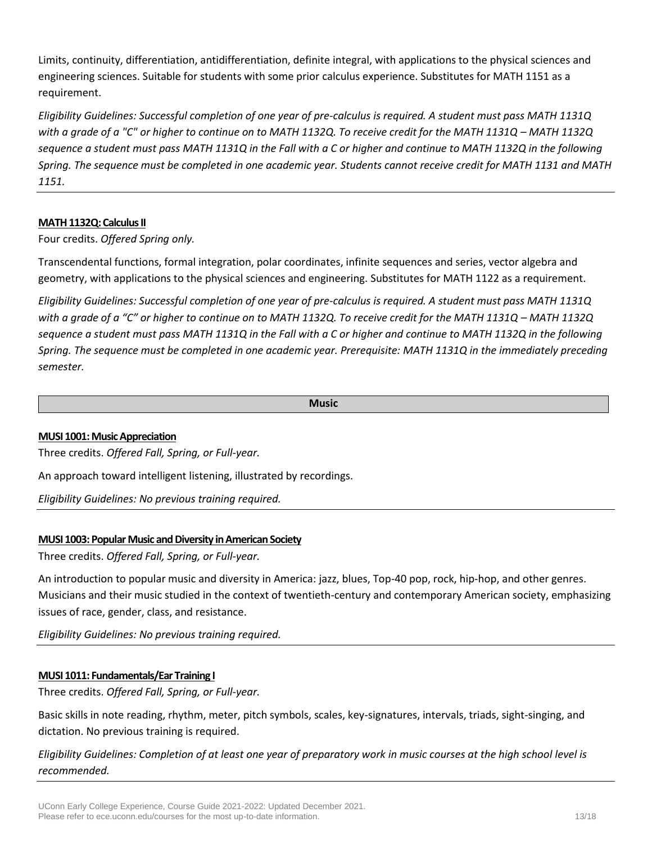Limits, continuity, differentiation, antidifferentiation, definite integral, with applications to the physical sciences and engineering sciences. Suitable for students with some prior calculus experience. Substitutes for MATH 1151 as a requirement.

*Eligibility Guidelines: Successful completion of one year of pre-calculus is required. A student must pass MATH 1131Q*  with a grade of a "C" or higher to continue on to MATH 1132Q. To receive credit for the MATH 1131Q – MATH 1132Q *sequence a student must pass MATH 1131Q in the Fall with a C or higher and continue to MATH 1132Q in the following Spring. The sequence must be completed in one academic year. Students cannot receive credit for MATH 1131 and MATH 1151.*

# **MATH 1132Q: Calculus II**

Four credits. *Offered Spring only.* 

Transcendental functions, formal integration, polar coordinates, infinite sequences and series, vector algebra and geometry, with applications to the physical sciences and engineering. Substitutes for MATH 1122 as a requirement.

*Eligibility Guidelines: Successful completion of one year of pre-calculus is required. A student must pass MATH 1131Q with a grade of a "C" or higher to continue on to MATH 1132Q. To receive credit for the MATH 1131Q – MATH 1132Q sequence a student must pass MATH 1131Q in the Fall with a C or higher and continue to MATH 1132Q in the following Spring. The sequence must be completed in one academic year. Prerequisite: MATH 1131Q in the immediately preceding semester.*

#### **Music**

## **MUSI 1001: Music Appreciation**

Three credits. *Offered Fall, Spring, or Full-year.*

An approach toward intelligent listening, illustrated by recordings.

*Eligibility Guidelines: No previous training required.*

# **MUSI 1003: Popular Music and Diversity in American Society**

Three credits. *Offered Fall, Spring, or Full-year.*

An introduction to popular music and diversity in America: jazz, blues, Top-40 pop, rock, hip-hop, and other genres. Musicians and their music studied in the context of twentieth-century and contemporary American society, emphasizing issues of race, gender, class, and resistance.

*Eligibility Guidelines: No previous training required.*

## **MUSI 1011: Fundamentals/Ear Training I**

Three credits. *Offered Fall, Spring, or Full-year.*

Basic skills in note reading, rhythm, meter, pitch symbols, scales, key-signatures, intervals, triads, sight-singing, and dictation. No previous training is required.

*Eligibility Guidelines: Completion of at least one year of preparatory work in music courses at the high school level is recommended.*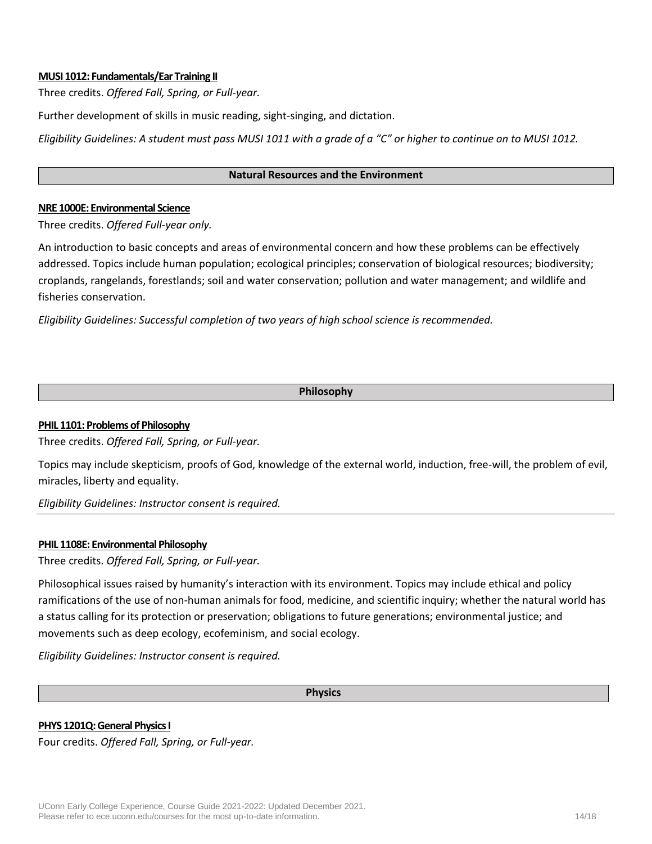## **MUSI 1012: Fundamentals/Ear Training II**

Three credits. *Offered Fall, Spring, or Full-year.*

Further development of skills in music reading, sight-singing, and dictation.

*Eligibility Guidelines: A student must pass MUSI 1011 with a grade of a "C" or higher to continue on to MUSI 1012.*

#### **Natural Resources and the Environment**

#### **NRE 1000E: Environmental Science**

Three credits. *Offered Full-year only.*

An introduction to basic concepts and areas of environmental concern and how these problems can be effectively addressed. Topics include human population; ecological principles; conservation of biological resources; biodiversity; croplands, rangelands, forestlands; soil and water conservation; pollution and water management; and wildlife and fisheries conservation.

*Eligibility Guidelines: Successful completion of two years of high school science is recommended.*

#### **Philosophy**

#### **PHIL 1101: Problems of Philosophy**

Three credits. *Offered Fall, Spring, or Full-year.*

Topics may include skepticism, proofs of God, knowledge of the external world, induction, free-will, the problem of evil, miracles, liberty and equality.

*Eligibility Guidelines: Instructor consent is required.*

#### **PHIL 1108E: Environmental Philosophy**

Three credits. *Offered Fall, Spring, or Full-year.*

Philosophical issues raised by humanity's interaction with its environment. Topics may include ethical and policy ramifications of the use of non-human animals for food, medicine, and scientific inquiry; whether the natural world has a status calling for its protection or preservation; obligations to future generations; environmental justice; and movements such as deep ecology, ecofeminism, and social ecology.

*Eligibility Guidelines: Instructor consent is required.*

**Physics**

#### **PHYS 1201Q: General Physics I**

Four credits. *Offered Fall, Spring, or Full-year.*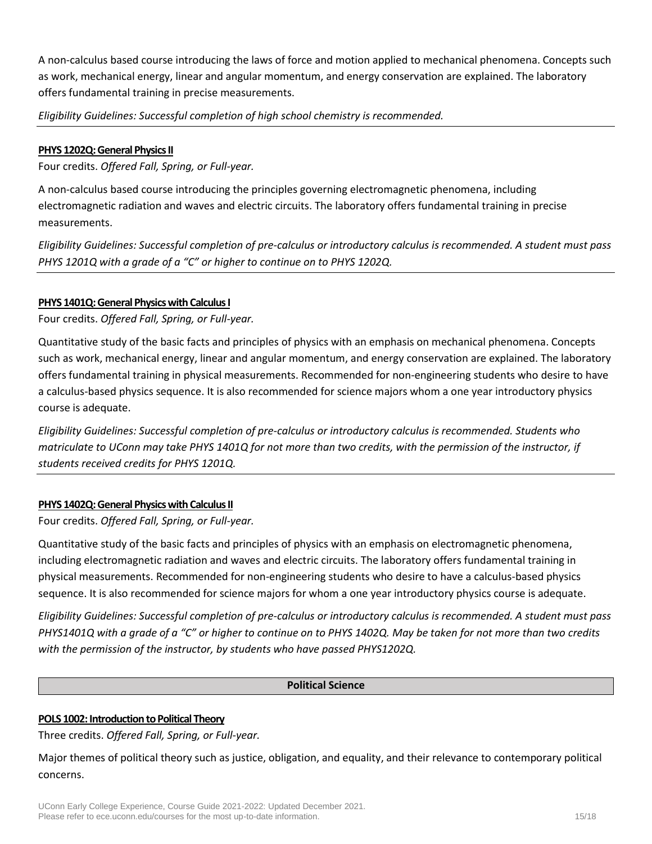A non-calculus based course introducing the laws of force and motion applied to mechanical phenomena. Concepts such as work, mechanical energy, linear and angular momentum, and energy conservation are explained. The laboratory offers fundamental training in precise measurements.

*Eligibility Guidelines: Successful completion of high school chemistry is recommended.*

# **PHYS 1202Q: General Physics II**

Four credits. *Offered Fall, Spring, or Full-year.*

A non-calculus based course introducing the principles governing electromagnetic phenomena, including electromagnetic radiation and waves and electric circuits. The laboratory offers fundamental training in precise measurements.

*Eligibility Guidelines: Successful completion of pre-calculus or introductory calculus is recommended. A student must pass PHYS 1201Q with a grade of a "C" or higher to continue on to PHYS 1202Q.*

# **PHYS 1401Q: General Physics with Calculus I**

Four credits. *Offered Fall, Spring, or Full-year.*

Quantitative study of the basic facts and principles of physics with an emphasis on mechanical phenomena. Concepts such as work, mechanical energy, linear and angular momentum, and energy conservation are explained. The laboratory offers fundamental training in physical measurements. Recommended for non-engineering students who desire to have a calculus-based physics sequence. It is also recommended for science majors whom a one year introductory physics course is adequate.

*Eligibility Guidelines: Successful completion of pre-calculus or introductory calculus is recommended. Students who matriculate to UConn may take PHYS 1401Q for not more than two credits, with the permission of the instructor, if students received credits for PHYS 1201Q.*

# **PHYS 1402Q: General Physics with Calculus II**

Four credits. *Offered Fall, Spring, or Full-year.*

Quantitative study of the basic facts and principles of physics with an emphasis on electromagnetic phenomena, including electromagnetic radiation and waves and electric circuits. The laboratory offers fundamental training in physical measurements. Recommended for non-engineering students who desire to have a calculus-based physics sequence. It is also recommended for science majors for whom a one year introductory physics course is adequate.

*Eligibility Guidelines: Successful completion of pre-calculus or introductory calculus is recommended. A student must pass PHYS1401Q with a grade of a "C" or higher to continue on to PHYS 1402Q. May be taken for not more than two credits with the permission of the instructor, by students who have passed PHYS1202Q.*

# **Political Science**

## **POLS 1002: Introduction to Political Theory**

Three credits. *Offered Fall, Spring, or Full-year.*

Major themes of political theory such as justice, obligation, and equality, and their relevance to contemporary political concerns.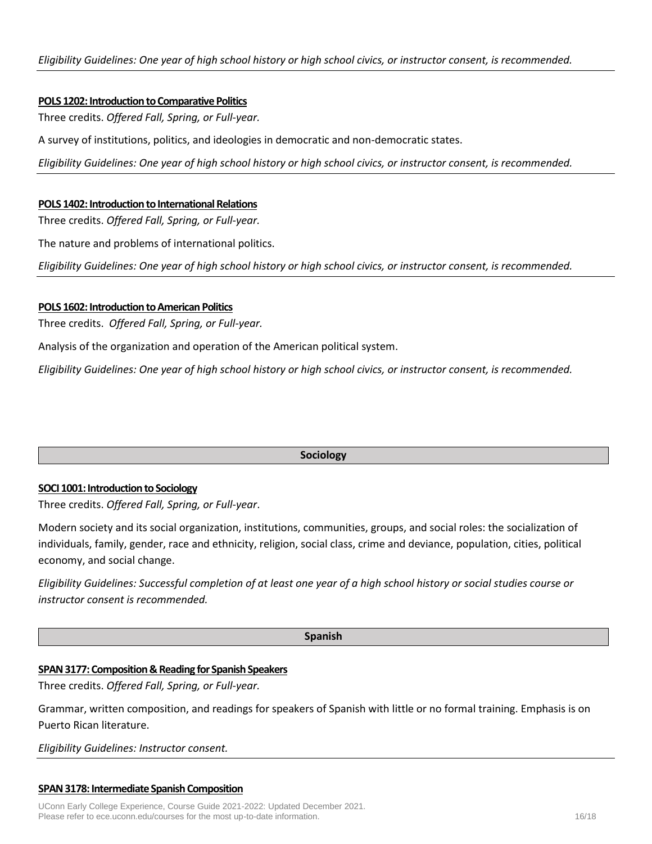#### **POLS 1202: Introduction to Comparative Politics**

Three credits. *Offered Fall, Spring, or Full-year.*

A survey of institutions, politics, and ideologies in democratic and non-democratic states.

*Eligibility Guidelines: One year of high school history or high school civics, or instructor consent, is recommended.*

#### **POLS 1402: Introduction to International Relations**

Three credits. *Offered Fall, Spring, or Full-year.*

The nature and problems of international politics.

*Eligibility Guidelines: One year of high school history or high school civics, or instructor consent, is recommended.*

#### **POLS 1602: Introduction to American Politics**

Three credits. *Offered Fall, Spring, or Full-year.*

Analysis of the organization and operation of the American political system.

*Eligibility Guidelines: One year of high school history or high school civics, or instructor consent, is recommended.*

**Sociology**

#### **SOCI 1001: Introduction to Sociology**

Three credits. *Offered Fall, Spring, or Full-year*.

Modern society and its social organization, institutions, communities, groups, and social roles: the socialization of individuals, family, gender, race and ethnicity, religion, social class, crime and deviance, population, cities, political economy, and social change.

*Eligibility Guidelines: Successful completion of at least one year of a high school history or social studies course or instructor consent is recommended.*

**Spanish**

## **SPAN 3177: Composition & Reading for Spanish Speakers**

Three credits. *Offered Fall, Spring, or Full-year.*

Grammar, written composition, and readings for speakers of Spanish with little or no formal training. Emphasis is on Puerto Rican literature.

*Eligibility Guidelines: Instructor consent.*

#### **SPAN 3178: Intermediate Spanish Composition**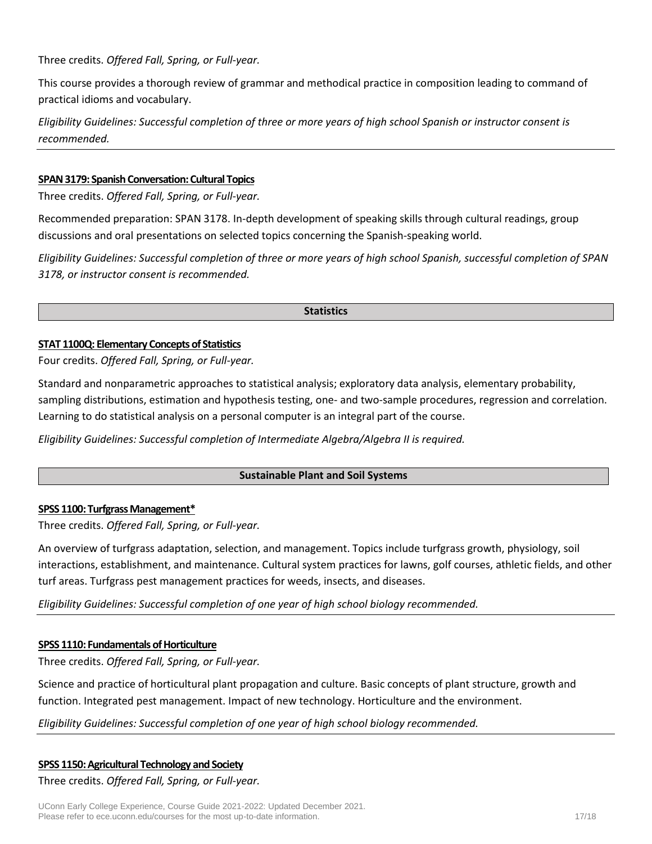Three credits. *Offered Fall, Spring, or Full-year.*

This course provides a thorough review of grammar and methodical practice in composition leading to command of practical idioms and vocabulary.

*Eligibility Guidelines: Successful completion of three or more years of high school Spanish or instructor consent is recommended.*

## **SPAN 3179: Spanish Conversation: Cultural Topics**

Three credits. *Offered Fall, Spring, or Full-year.*

Recommended preparation: SPAN 3178. In-depth development of speaking skills through cultural readings, group discussions and oral presentations on selected topics concerning the Spanish-speaking world.

*Eligibility Guidelines: Successful completion of three or more years of high school Spanish, successful completion of SPAN 3178, or instructor consent is recommended.*

#### **Statistics**

## **STAT 1100Q: Elementary Concepts of Statistics**

Four credits. *Offered Fall, Spring, or Full-year.*

Standard and nonparametric approaches to statistical analysis; exploratory data analysis, elementary probability, sampling distributions, estimation and hypothesis testing, one- and two-sample procedures, regression and correlation. Learning to do statistical analysis on a personal computer is an integral part of the course.

*Eligibility Guidelines: Successful completion of Intermediate Algebra/Algebra II is required.*

# **Sustainable Plant and Soil Systems**

## **SPSS 1100: Turfgrass Management\***

Three credits. *Offered Fall, Spring, or Full-year.*

An overview of turfgrass adaptation, selection, and management. Topics include turfgrass growth, physiology, soil interactions, establishment, and maintenance. Cultural system practices for lawns, golf courses, athletic fields, and other turf areas. Turfgrass pest management practices for weeds, insects, and diseases.

*Eligibility Guidelines: Successful completion of one year of high school biology recommended.*

## **SPSS 1110: Fundamentals of Horticulture**

Three credits. *Offered Fall, Spring, or Full-year.*

Science and practice of horticultural plant propagation and culture. Basic concepts of plant structure, growth and function. Integrated pest management. Impact of new technology. Horticulture and the environment.

## *Eligibility Guidelines: Successful completion of one year of high school biology recommended.*

## **SPSS 1150: Agricultural Technology and Society**

Three credits. *Offered Fall, Spring, or Full-year.*